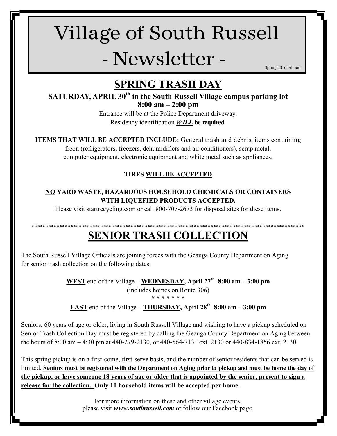# Village of South Russell - Newsletter -

Spring 2016 Edition

## **SPRING TRASH DAY**

**SATURDAY, APRIL 30th in the South Russell Village campus parking lot 8:00 am – 2:00 pm** 

> Entrance will be at the Police Department driveway. Residency identification *WILL* **be required**.

**ITEMS THAT WILL BE ACCEPTED INCLUDE:** General trash and debris, items containing freon (refrigerators, freezers, dehumidifiers and air conditioners), scrap metal, computer equipment, electronic equipment and white metal such as appliances.

#### **TIRES WILL BE ACCEPTED**

#### **NO YARD WASTE, HAZARDOUS HOUSEHOLD CHEMICALS OR CONTAINERS WITH LIQUEFIED PRODUCTS ACCEPTED.**

Please visit startrecycling.com or call 800-707-2673 for disposal sites for these items.

#### \*\*\*\*\*\*\*\*\*\*\*\*\*\*\*\*\*\*\*\*\*\*\*\*\*\*\*\*\*\*\*\*\*\*\*\*\*\*\*\*\*\*\*\*\*\*\*\*\*\*\*\*\*\*\*\*\*\*\*\*\*\*\*\*\*\*\*\*\*\*\*\*\*\*\*\*\*\*\*\*\*\*\*\*\*\*\*\*\*\*\*\*\*\*\*\*\*\*\* **SENIOR TRASH COLLECTION**

The South Russell Village Officials are joining forces with the Geauga County Department on Aging for senior trash collection on the following dates:

> **WEST** end of the Village – **WEDNESDAY, April 27th 8:00 am – 3:00 pm**  (includes homes on Route 306) \* \* \* \* \* \* \* **EAST** end of the Village – **THURSDAY, April 28th 8:00 am – 3:00 pm**

Seniors, 60 years of age or older, living in South Russell Village and wishing to have a pickup scheduled on Senior Trash Collection Day must be registered by calling the Geauga County Department on Aging between the hours of 8:00 am – 4:30 pm at 440-279-2130, or 440-564-7131 ext. 2130 or 440-834-1856 ext. 2130.

This spring pickup is on a first-come, first-serve basis, and the number of senior residents that can be served is limited. **Seniors must be registered with the Department on Aging prior to pickup and must be home the day of the pickup, or have someone 18 years of age or older that is appointed by the senior, present to sign a release for the collection. Only 10 household items will be accepted per home.** 

> For more information on these and other village events, please visit *www.southrussell.com* or follow our Facebook page.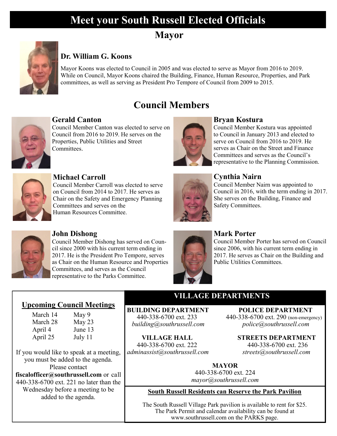## **Meet your South Russell Elected Officials**

### **Mayor**



### **Dr. William G. Koons**

Mayor Koons was elected to Council in 2005 and was elected to serve as Mayor from 2016 to 2019. While on Council, Mayor Koons chaired the Building, Finance, Human Resource, Properties, and Park committees, as well as serving as President Pro Tempore of Council from 2009 to 2015.

### **Council Members**



#### **Gerald Canton**

Council Member Canton was elected to serve on Council from 2016 to 2019. He serves on the Properties, Public Utilities and Street Committees.



#### **Michael Carroll**

Council Member Carroll was elected to serve on Council from 2014 to 2017. He serves as Chair on the Safety and Emergency Planning Committees and serves on the Human Resources Committee.



#### **Bryan Kostura**

Council Member Kostura was appointed to Council in January 2013 and elected to serve on Council from 2016 to 2019. He serves as Chair on the Street and Finance Committees and serves as the Council's representative to the Planning Commission.



#### **Cynthia Nairn**

Council Member Nairn was appointed to Council in 2016, with the term ending in 2017. She serves on the Building, Finance and Safety Committees.



#### **John Dishong**

Council Member Dishong has served on Council since 2000 with his current term ending in 2017. He is the President Pro Tempore, serves as Chair on the Human Resource and Properties Committees, and serves as the Council representative to the Parks Committee.

#### **Mark Porter**

Council Member Porter has served on Council since 2006, with his current term ending in 2017. He serves as Chair on the Building and Public Utilities Committees.

#### **Upcoming Council Meetings**

| March 14 | May 9   |
|----------|---------|
| March 28 | May 23  |
| April 4  | June 13 |
| April 25 | July 11 |

If you would like to speak at a meeting, you must be added to the agenda. Please contact

**fiscalofficer@southrussell.com** or call 440-338-6700 ext. 221 no later than the Wednesday before a meeting to be added to the agenda.

 440-338-6700 ext. 222 440-338-6700 ext. 236 *adminassist@southrussell.com streets@southrussell.com* 

#### **VILLAGE DEPARTMENTS**

**BUILDING DEPARTMENT POLICE DEPARTMENT**  440-338-6700 ext. 233 440-338-6700 ext. 290 (non-emergency) *building@southrussell.com police@southrussell.com* 

 **VILLAGE HALL STREETS DEPARTMENT** 

**MAYOR**

440-338-6700 ext. 224 *mayor@southrussell.com*

#### **South Russell Residents can Reserve the Park Pavilion**

The South Russell Village Park pavilion is available to rent for \$25. The Park Permit and calendar availability can be found at www.southrussell.com on the PARKS page.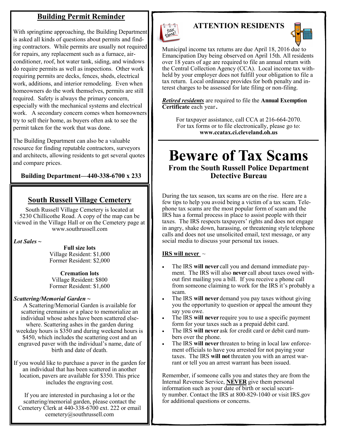#### **Building Permit Reminder**

With springtime approaching, the Building Department is asked all kinds of questions about permits and finding contractors. While permits are usually not required for repairs, any replacement such as a furnace, airconditioner, roof, hot water tank, siding, and windows do require permits as well as inspections. Other work requiring permits are decks, fences, sheds, electrical work, additions, and interior remodeling. Even when homeowners do the work themselves, permits are still required. Safety is always the primary concern, especially with the mechanical systems and electrical work. A secondary concern comes when homeowners try to sell their home, as buyers often ask to see the permit taken for the work that was done.

The Building Department can also be a valuable resource for finding reputable contractors, surveyors and architects, allowing residents to get several quotes and compare prices.

**Building Department—440-338-6700 x 233** 

#### **South Russell Village Cemetery**

South Russell Village Cemetery is located at 5230 Chillicothe Road. A copy of the map can be viewed in the Village Hall or on the Cemetery page at www.southrussell.com

*Lot Sales*  $\sim$ 

**Full size lots**  Village Resident: \$1,000 Former Resident: \$2,000

**Cremation lots**  Village Resident: \$800 Former Resident: \$1,600

#### *Scattering/Memorial Garden* **~**

A Scattering/Memorial Garden is available for scattering cremains or a place to memorialize an individual whose ashes have been scattered elsewhere. Scattering ashes in the garden during weekday hours is \$350 and during weekend hours is \$450, which includes the scattering cost and an engraved paver with the individual's name, date of birth and date of death.

If you would like to purchase a paver in the garden for an individual that has been scattered in another location, pavers are available for \$350. This price includes the engraving cost.

If you are interested in purchasing a lot or the scattering/memorial garden, please contact the Cemetery Clerk at 440-338-6700 ext. 222 or email cemetery@southrussell.com



#### **ATTENTION RESIDENTS**



Municipal income tax returns are due April 18, 2016 due to Emancipation Day being observed on April 15th. All residents over 18 years of age are required to file an annual return with the Central Collection Agency (CCA). Local income tax withheld by your employer does not fulfill your obligation to file a tax return. Local ordinance provides for both penalty and interest charges to be assessed for late filing or non-filing.

*Retired residents* are required to file the **Annual Exemption Certificate** each year**.**

For taxpayer assistance, call CCA at 216-664-2070. For tax forms or to file electronically, please go to: **www.ccatax.ci.cleveland.oh.us**

## **Beware of Tax Scams**

**From the South Russell Police Department Detective Bureau**

During the tax season, tax scams are on the rise. Here are a few tips to help you avoid being a victim of a tax scam. Telephone tax scams are the most popular form of scam and the IRS has a formal process in place to assist people with their taxes. The IRS respects taxpayers' rights and does not engage in angry, shake down, harassing, or threatening style telephone calls and does not use unsolicited email, text message, or any social media to discuss your personal tax issues.

#### **IRS will never**  $\sim$

- The IRS **will never** call you and demand immediate payment. The IRS will also **never** call about taxes owed without first mailing you a bill. If you receive a phone call from someone claiming to work for the IRS it's probably a scam.
- The IRS **will never** demand you pay taxes without giving you the opportunity to question or appeal the amount they say you owe.
- The IRS **will never** require you to use a specific payment form for your taxes such as a prepaid debit card.
- The IRS **will never** ask for credit card or debit card numbers over the phone.
- The IRS **will never** threaten to bring in local law enforcement officials to have you arrested for not paying your taxes. The IRS **will not** threaten you with an arrest warrant or tell you an arrest warrant has been issued.

Remember, if someone calls you and states they are from the Internal Revenue Service, **NEVER** give them personal information such as your date of birth or social security number. Contact the IRS at 800-829-1040 or visit IRS.gov for additional questions or concerns.